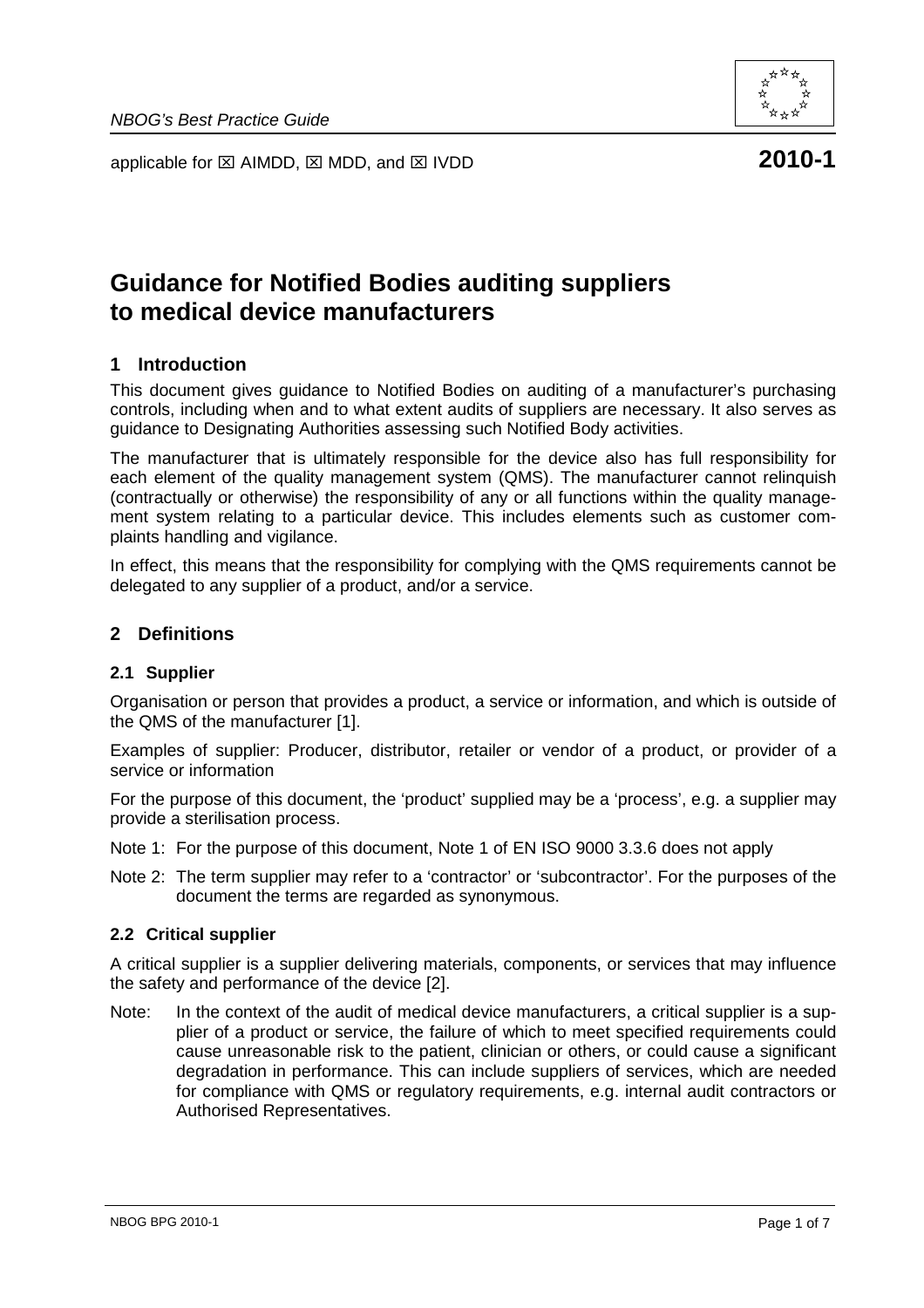



# **Guidance for Notified Bodies auditing suppliers to medical device manufacturers**

## **1 Introduction**

This document gives guidance to Notified Bodies on auditing of a manufacturer's purchasing controls, including when and to what extent audits of suppliers are necessary. It also serves as guidance to Designating Authorities assessing such Notified Body activities.

The manufacturer that is ultimately responsible for the device also has full responsibility for each element of the quality management system (QMS). The manufacturer cannot relinquish (contractually or otherwise) the responsibility of any or all functions within the quality management system relating to a particular device. This includes elements such as customer complaints handling and vigilance.

In effect, this means that the responsibility for complying with the QMS requirements cannot be delegated to any supplier of a product, and/or a service.

#### **2 Definitions**

#### **2.1 Supplier**

Organisation or person that provides a product, a service or information, and which is outside of the QMS of the manufacturer [1].

Examples of supplier: Producer, distributor, retailer or vendor of a product, or provider of a service or information

For the purpose of this document, the 'product' supplied may be a 'process', e.g. a supplier may provide a sterilisation process.

Note 1: For the purpose of this document, Note 1 of EN ISO 9000 3.3.6 does not apply

Note 2: The term supplier may refer to a 'contractor' or 'subcontractor'. For the purposes of the document the terms are regarded as synonymous.

#### **2.2 Critical supplier**

A critical supplier is a supplier delivering materials, components, or services that may influence the safety and performance of the device [2].

Note: In the context of the audit of medical device manufacturers, a critical supplier is a supplier of a product or service, the failure of which to meet specified requirements could cause unreasonable risk to the patient, clinician or others, or could cause a significant degradation in performance. This can include suppliers of services, which are needed for compliance with QMS or regulatory requirements, e.g. internal audit contractors or Authorised Representatives.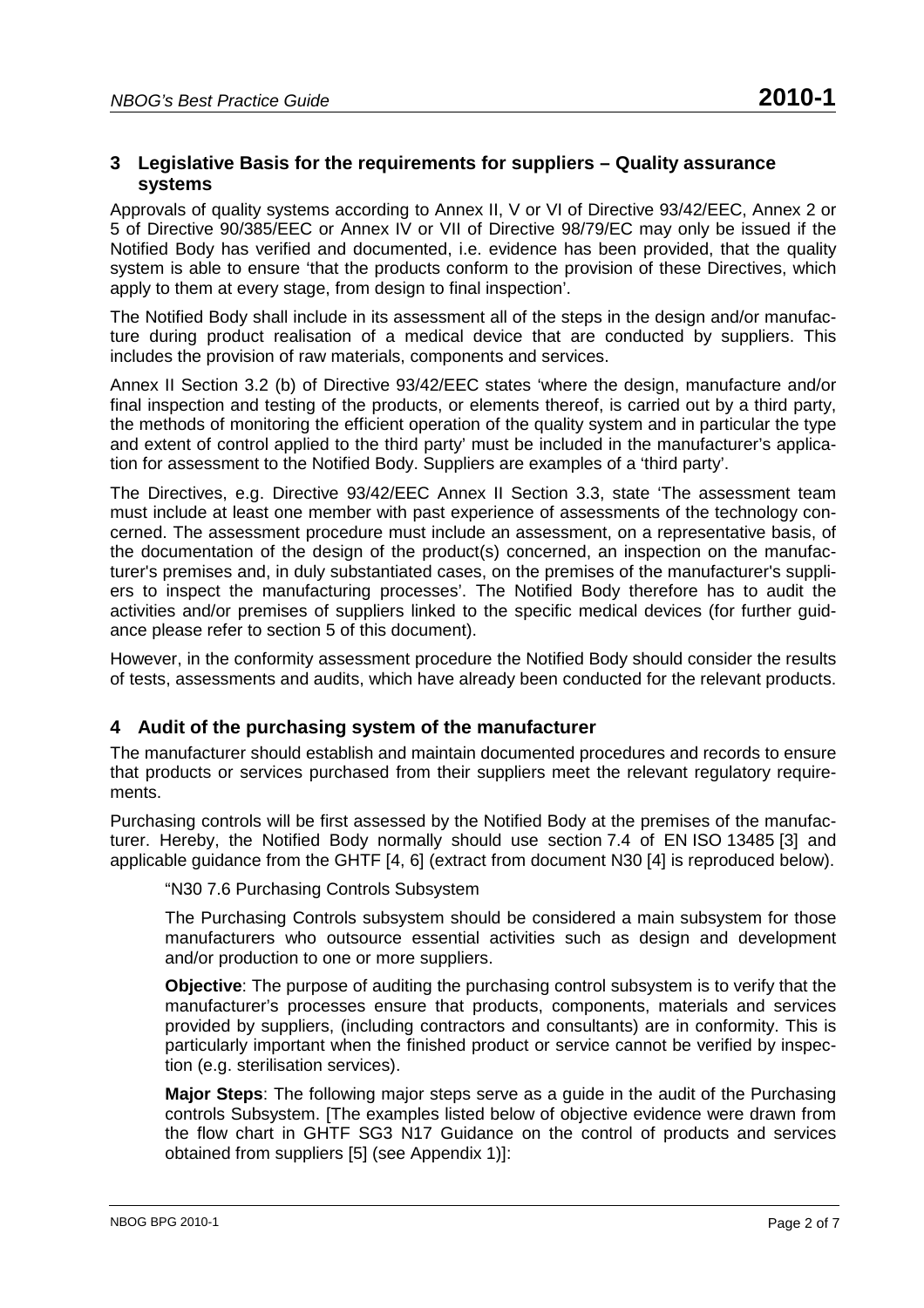## **3 Legislative Basis for the requirements for suppliers – Quality assurance systems**

Approvals of quality systems according to Annex II, V or VI of Directive 93/42/EEC, Annex 2 or 5 of Directive 90/385/EEC or Annex IV or VII of Directive 98/79/EC may only be issued if the Notified Body has verified and documented, i.e. evidence has been provided, that the quality system is able to ensure 'that the products conform to the provision of these Directives, which apply to them at every stage, from design to final inspection'.

The Notified Body shall include in its assessment all of the steps in the design and/or manufacture during product realisation of a medical device that are conducted by suppliers. This includes the provision of raw materials, components and services.

Annex II Section 3.2 (b) of Directive 93/42/EEC states 'where the design, manufacture and/or final inspection and testing of the products, or elements thereof, is carried out by a third party, the methods of monitoring the efficient operation of the quality system and in particular the type and extent of control applied to the third party' must be included in the manufacturer's application for assessment to the Notified Body. Suppliers are examples of a 'third party'.

The Directives, e.g. Directive 93/42/EEC Annex II Section 3.3, state 'The assessment team must include at least one member with past experience of assessments of the technology concerned. The assessment procedure must include an assessment, on a representative basis, of the documentation of the design of the product(s) concerned, an inspection on the manufacturer's premises and, in duly substantiated cases, on the premises of the manufacturer's suppliers to inspect the manufacturing processes'. The Notified Body therefore has to audit the activities and/or premises of suppliers linked to the specific medical devices (for further guidance please refer to section 5 of this document).

However, in the conformity assessment procedure the Notified Body should consider the results of tests, assessments and audits, which have already been conducted for the relevant products.

## **4 Audit of the purchasing system of the manufacturer**

The manufacturer should establish and maintain documented procedures and records to ensure that products or services purchased from their suppliers meet the relevant regulatory requirements.

Purchasing controls will be first assessed by the Notified Body at the premises of the manufacturer. Hereby, the Notified Body normally should use section 7.4 of EN ISO 13485 [3] and applicable guidance from the GHTF [4, 6] (extract from document N30 [4] is reproduced below).

"N30 7.6 Purchasing Controls Subsystem

The Purchasing Controls subsystem should be considered a main subsystem for those manufacturers who outsource essential activities such as design and development and/or production to one or more suppliers.

**Objective**: The purpose of auditing the purchasing control subsystem is to verify that the manufacturer's processes ensure that products, components, materials and services provided by suppliers, (including contractors and consultants) are in conformity. This is particularly important when the finished product or service cannot be verified by inspection (e.g. sterilisation services).

**Major Steps**: The following major steps serve as a guide in the audit of the Purchasing controls Subsystem. [The examples listed below of objective evidence were drawn from the flow chart in GHTF SG3 N17 Guidance on the control of products and services obtained from suppliers [5] (see Appendix 1)]: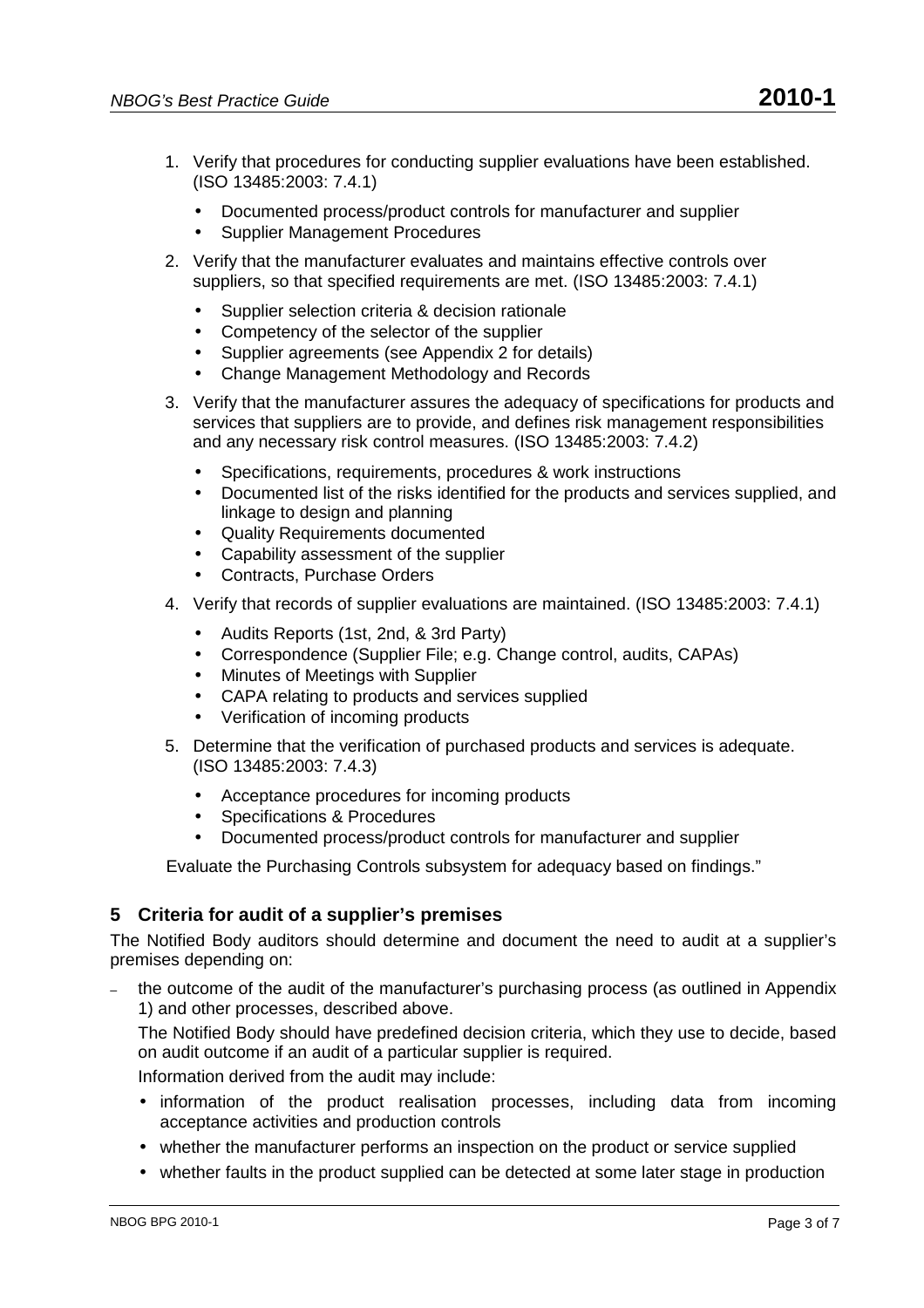- 1. Verify that procedures for conducting supplier evaluations have been established. (ISO 13485:2003: 7.4.1)
	- Documented process/product controls for manufacturer and supplier
	- Supplier Management Procedures
- 2. Verify that the manufacturer evaluates and maintains effective controls over suppliers, so that specified requirements are met. (ISO 13485:2003: 7.4.1)
	- Supplier selection criteria & decision rationale
	- Competency of the selector of the supplier
	- Supplier agreements (see Appendix 2 for details)
	- Change Management Methodology and Records
- 3. Verify that the manufacturer assures the adequacy of specifications for products and services that suppliers are to provide, and defines risk management responsibilities and any necessary risk control measures. (ISO 13485:2003: 7.4.2)
	- Specifications, requirements, procedures & work instructions
	- Documented list of the risks identified for the products and services supplied, and linkage to design and planning
	- Quality Requirements documented
	- Capability assessment of the supplier
	- Contracts, Purchase Orders
- 4. Verify that records of supplier evaluations are maintained. (ISO 13485:2003: 7.4.1)
	- Audits Reports (1st, 2nd, & 3rd Party)
	- Correspondence (Supplier File; e.g. Change control, audits, CAPAs)
	- Minutes of Meetings with Supplier
	- CAPA relating to products and services supplied
	- Verification of incoming products
- 5. Determine that the verification of purchased products and services is adequate. (ISO 13485:2003: 7.4.3)
	- Acceptance procedures for incoming products
	- Specifications & Procedures
	- Documented process/product controls for manufacturer and supplier

Evaluate the Purchasing Controls subsystem for adequacy based on findings."

## **5 Criteria for audit of a supplier's premises**

The Notified Body auditors should determine and document the need to audit at a supplier's premises depending on:

– the outcome of the audit of the manufacturer's purchasing process (as outlined in Appendix 1) and other processes, described above.

The Notified Body should have predefined decision criteria, which they use to decide, based on audit outcome if an audit of a particular supplier is required.

Information derived from the audit may include:

- information of the product realisation processes, including data from incoming acceptance activities and production controls
- whether the manufacturer performs an inspection on the product or service supplied
- whether faults in the product supplied can be detected at some later stage in production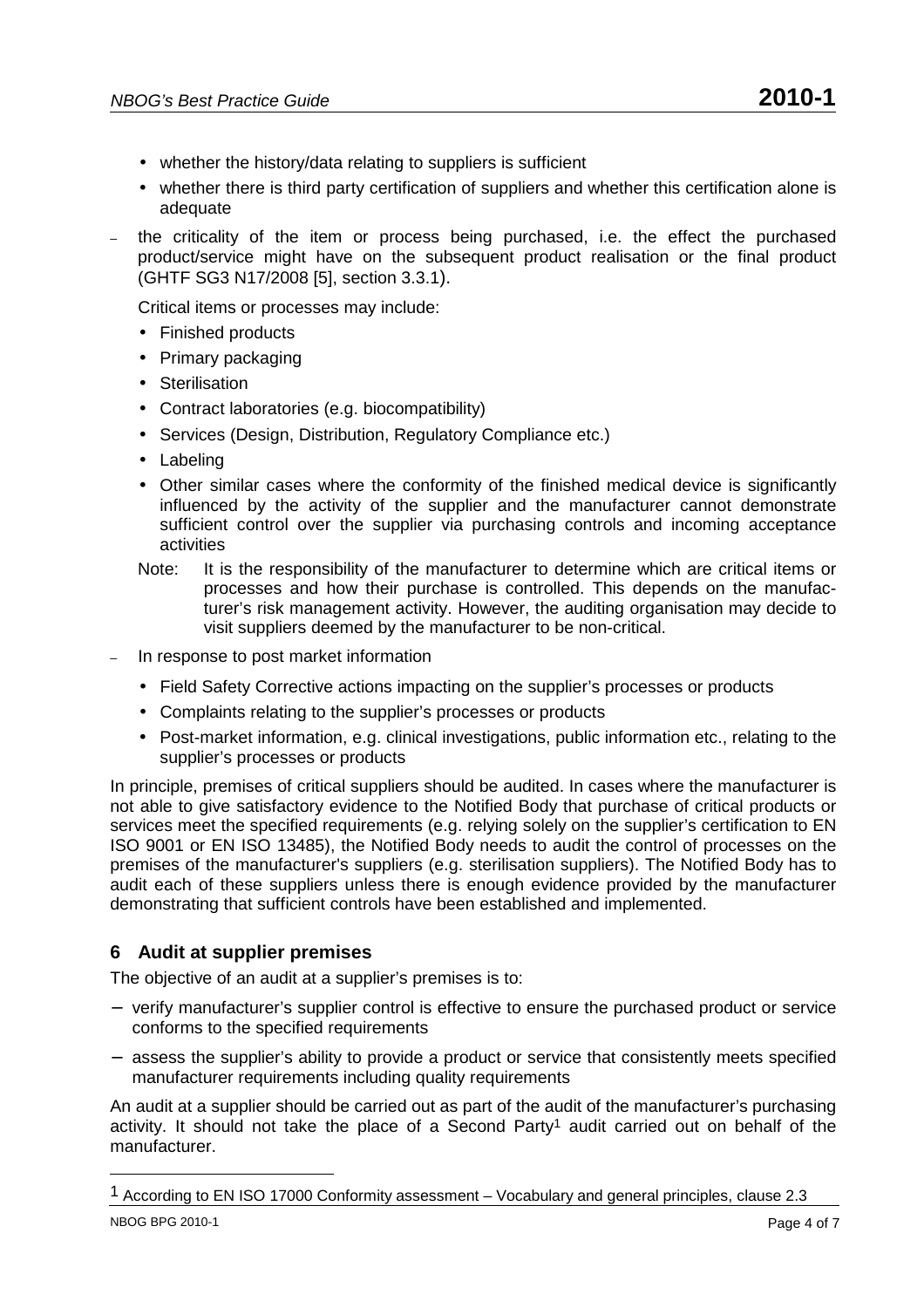- whether the history/data relating to suppliers is sufficient
- whether there is third party certification of suppliers and whether this certification alone is adequate
- the criticality of the item or process being purchased, i.e. the effect the purchased product/service might have on the subsequent product realisation or the final product (GHTF SG3 N17/2008 [5], section 3.3.1).

Critical items or processes may include:

- Finished products
- Primary packaging
- Sterilisation
- Contract laboratories (e.g. biocompatibility)
- Services (Design, Distribution, Regulatory Compliance etc.)
- Labeling
- Other similar cases where the conformity of the finished medical device is significantly influenced by the activity of the supplier and the manufacturer cannot demonstrate sufficient control over the supplier via purchasing controls and incoming acceptance activities
- Note: It is the responsibility of the manufacturer to determine which are critical items or processes and how their purchase is controlled. This depends on the manufacturer's risk management activity. However, the auditing organisation may decide to visit suppliers deemed by the manufacturer to be non-critical.
- In response to post market information
	- Field Safety Corrective actions impacting on the supplier's processes or products
	- Complaints relating to the supplier's processes or products
	- Post-market information, e.g. clinical investigations, public information etc., relating to the supplier's processes or products

In principle, premises of critical suppliers should be audited. In cases where the manufacturer is not able to give satisfactory evidence to the Notified Body that purchase of critical products or services meet the specified requirements (e.g. relying solely on the supplier's certification to EN ISO 9001 or EN ISO 13485), the Notified Body needs to audit the control of processes on the premises of the manufacturer's suppliers (e.g. sterilisation suppliers). The Notified Body has to audit each of these suppliers unless there is enough evidence provided by the manufacturer demonstrating that sufficient controls have been established and implemented.

## **6 Audit at supplier premises**

The objective of an audit at a supplier's premises is to:

- − verify manufacturer's supplier control is effective to ensure the purchased product or service conforms to the specified requirements
- − assess the supplier's ability to provide a product or service that consistently meets specified manufacturer requirements including quality requirements

An audit at a supplier should be carried out as part of the audit of the manufacturer's purchasing activity. It should not take the place of a Second Party<sup>1</sup> audit carried out on behalf of the manufacturer.

 $\overline{a}$ 

<sup>1</sup> According to EN ISO 17000 Conformity assessment – Vocabulary and general principles, clause 2.3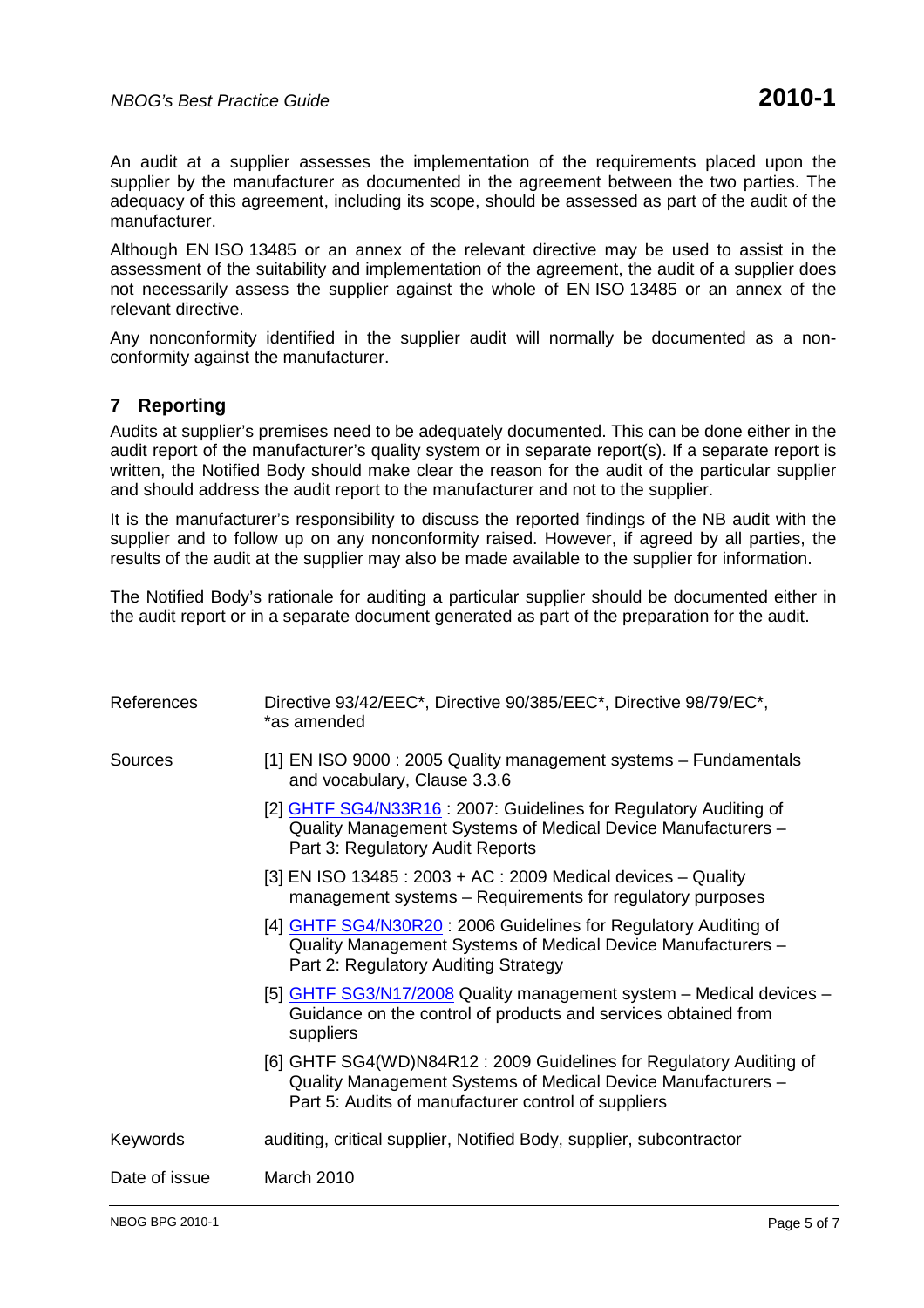An audit at a supplier assesses the implementation of the requirements placed upon the supplier by the manufacturer as documented in the agreement between the two parties. The adequacy of this agreement, including its scope, should be assessed as part of the audit of the manufacturer.

Although EN ISO 13485 or an annex of the relevant directive may be used to assist in the assessment of the suitability and implementation of the agreement, the audit of a supplier does not necessarily assess the supplier against the whole of EN ISO 13485 or an annex of the relevant directive.

Any nonconformity identified in the supplier audit will normally be documented as a nonconformity against the manufacturer.

## **7 Reporting**

Audits at supplier's premises need to be adequately documented. This can be done either in the audit report of the manufacturer's quality system or in separate report(s). If a separate report is written, the Notified Body should make clear the reason for the audit of the particular supplier and should address the audit report to the manufacturer and not to the supplier.

It is the manufacturer's responsibility to discuss the reported findings of the NB audit with the supplier and to follow up on any nonconformity raised. However, if agreed by all parties, the results of the audit at the supplier may also be made available to the supplier for information.

The Notified Body's rationale for auditing a particular supplier should be documented either in the audit report or in a separate document generated as part of the preparation for the audit.

| References    | Directive 93/42/EEC*, Directive 90/385/EEC*, Directive 98/79/EC*,<br>*as amended                                                                                                          |
|---------------|-------------------------------------------------------------------------------------------------------------------------------------------------------------------------------------------|
| Sources       | [1] EN ISO 9000 : 2005 Quality management systems - Fundamentals<br>and vocabulary, Clause 3.3.6                                                                                          |
|               | [2] GHTF SG4/N33R16: 2007: Guidelines for Regulatory Auditing of<br>Quality Management Systems of Medical Device Manufacturers -<br>Part 3: Regulatory Audit Reports                      |
|               | [3] EN ISO 13485 : 2003 + AC : 2009 Medical devices - Quality<br>management systems - Requirements for regulatory purposes                                                                |
|               | [4] GHTF SG4/N30R20: 2006 Guidelines for Regulatory Auditing of<br>Quality Management Systems of Medical Device Manufacturers -<br>Part 2: Regulatory Auditing Strategy                   |
|               | [5] GHTF SG3/N17/2008 Quality management system - Medical devices -<br>Guidance on the control of products and services obtained from<br>suppliers                                        |
|               | [6] GHTF SG4(WD)N84R12: 2009 Guidelines for Regulatory Auditing of<br>Quality Management Systems of Medical Device Manufacturers -<br>Part 5: Audits of manufacturer control of suppliers |
| Keywords      | auditing, critical supplier, Notified Body, supplier, subcontractor                                                                                                                       |
| Date of issue | March 2010                                                                                                                                                                                |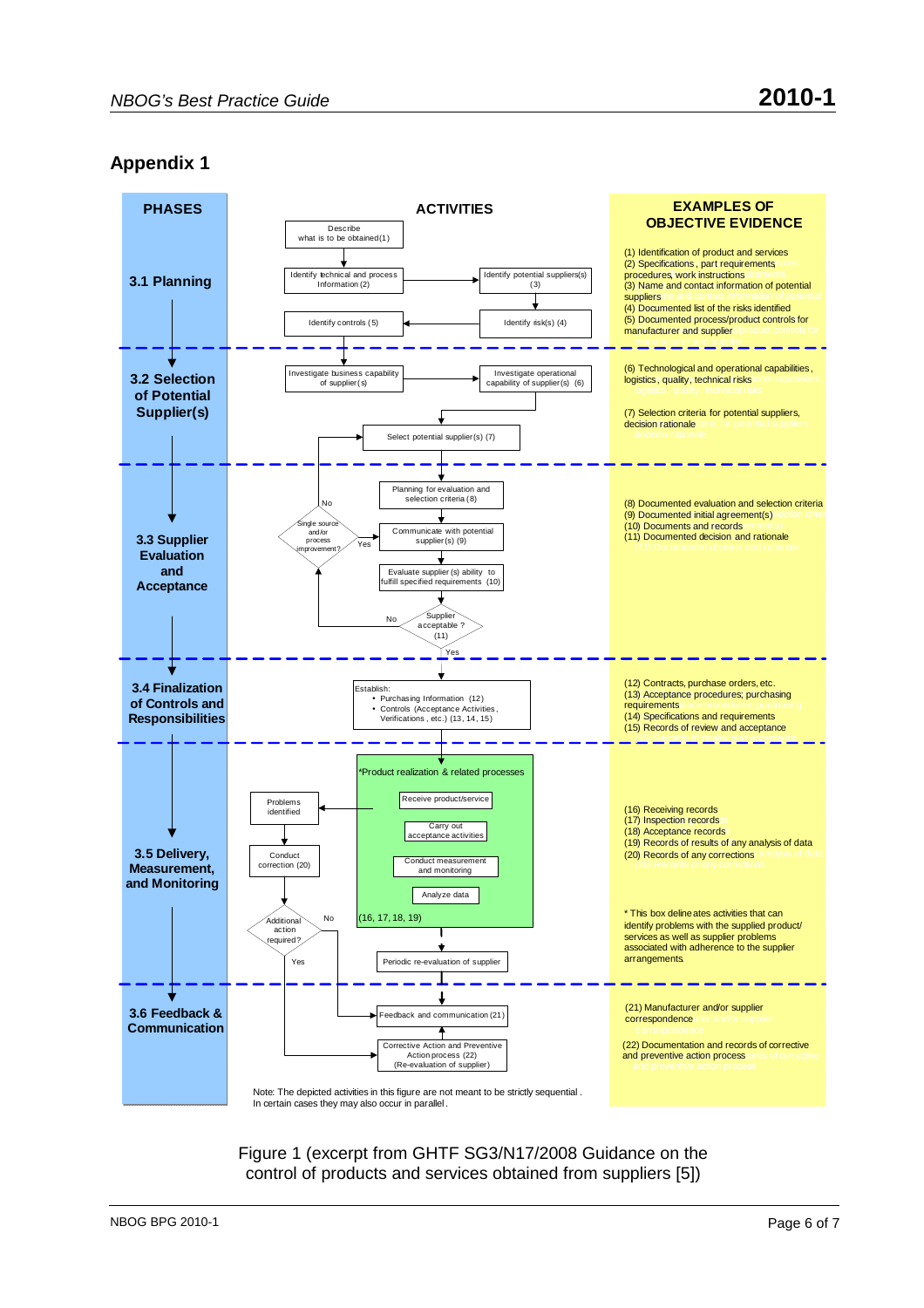# **Appendix 1**



Figure 1 (excerpt from GHTF SG3/N17/2008 Guidance on the control of products and services obtained from suppliers [5])